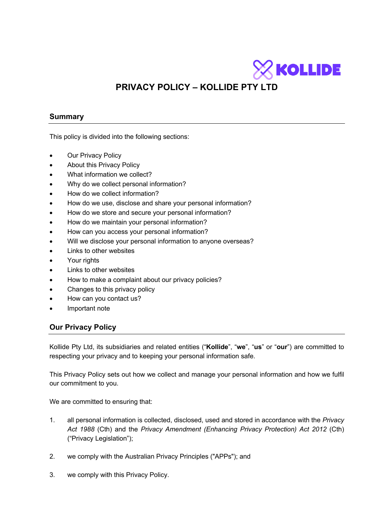

# **PRIVACY POLICY – KOLLIDE PTY LTD**

# **Summary**

This policy is divided into the following sections:

- **Our Privacy Policy**
- About this Privacy Policy
- What information we collect?
- Why do we collect personal information?
- How do we collect information?
- How do we use, disclose and share your personal information?
- How do we store and secure your personal information?
- How do we maintain your personal information?
- How can you access your personal information?
- Will we disclose your personal information to anyone overseas?
- Links to other websites
- Your rights
- Links to other websites
- How to make a complaint about our privacy policies?
- Changes to this privacy policy
- How can you contact us?
- Important note

## **Our Privacy Policy**

Kollide Pty Ltd, its subsidiaries and related entities ("**Kollide**", "**we**", "**us**" or "**our**") are committed to respecting your privacy and to keeping your personal information safe.

This Privacy Policy sets out how we collect and manage your personal information and how we fulfil our commitment to you.

We are committed to ensuring that:

- 1. all personal information is collected, disclosed, used and stored in accordance with the *Privacy Act 1988* (Cth) and the *Privacy Amendment (Enhancing Privacy Protection) Act 2012* (Cth) ("Privacy Legislation");
- 2. we comply with the Australian Privacy Principles ("APPs"); and
- 3. we comply with this Privacy Policy.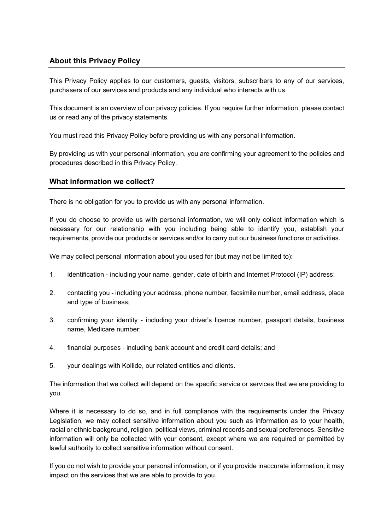# **About this Privacy Policy**

This Privacy Policy applies to our customers, guests, visitors, subscribers to any of our services, purchasers of our services and products and any individual who interacts with us.

This document is an overview of our privacy policies. If you require further information, please contact us or read any of the privacy statements.

You must read this Privacy Policy before providing us with any personal information.

By providing us with your personal information, you are confirming your agreement to the policies and procedures described in this Privacy Policy.

## **What information we collect?**

There is no obligation for you to provide us with any personal information.

If you do choose to provide us with personal information, we will only collect information which is necessary for our relationship with you including being able to identify you, establish your requirements, provide our products or services and/or to carry out our business functions or activities.

We may collect personal information about you used for (but may not be limited to):

- 1. identification including your name, gender, date of birth and Internet Protocol (IP) address;
- 2. contacting you including your address, phone number, facsimile number, email address, place and type of business;
- 3. confirming your identity including your driver's licence number, passport details, business name, Medicare number;
- 4. financial purposes including bank account and credit card details; and
- 5. your dealings with Kollide, our related entities and clients.

The information that we collect will depend on the specific service or services that we are providing to you.

Where it is necessary to do so, and in full compliance with the requirements under the Privacy Legislation, we may collect sensitive information about you such as information as to your health, racial or ethnic background, religion, political views, criminal records and sexual preferences. Sensitive information will only be collected with your consent, except where we are required or permitted by lawful authority to collect sensitive information without consent.

If you do not wish to provide your personal information, or if you provide inaccurate information, it may impact on the services that we are able to provide to you.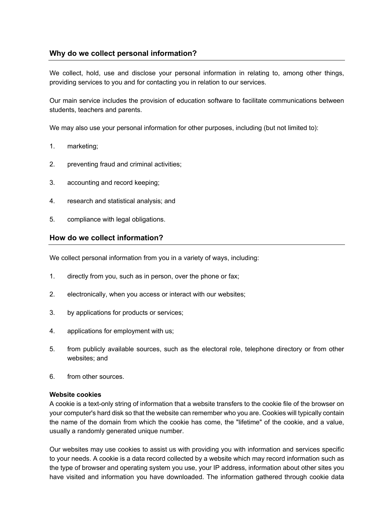# **Why do we collect personal information?**

We collect, hold, use and disclose your personal information in relating to, among other things, providing services to you and for contacting you in relation to our services.

Our main service includes the provision of education software to facilitate communications between students, teachers and parents.

We may also use your personal information for other purposes, including (but not limited to):

- 1. marketing;
- 2. preventing fraud and criminal activities;
- 3. accounting and record keeping;
- 4. research and statistical analysis; and
- 5. compliance with legal obligations.

### **How do we collect information?**

We collect personal information from you in a variety of ways, including:

- 1. directly from you, such as in person, over the phone or fax;
- 2. electronically, when you access or interact with our websites;
- 3. by applications for products or services;
- 4. applications for employment with us;
- 5. from publicly available sources, such as the electoral role, telephone directory or from other websites; and
- 6. from other sources.

#### **Website cookies**

A cookie is a text-only string of information that a website transfers to the cookie file of the browser on your computer's hard disk so that the website can remember who you are. Cookies will typically contain the name of the domain from which the cookie has come, the "lifetime" of the cookie, and a value, usually a randomly generated unique number.

Our websites may use cookies to assist us with providing you with information and services specific to your needs. A cookie is a data record collected by a website which may record information such as the type of browser and operating system you use, your IP address, information about other sites you have visited and information you have downloaded. The information gathered through cookie data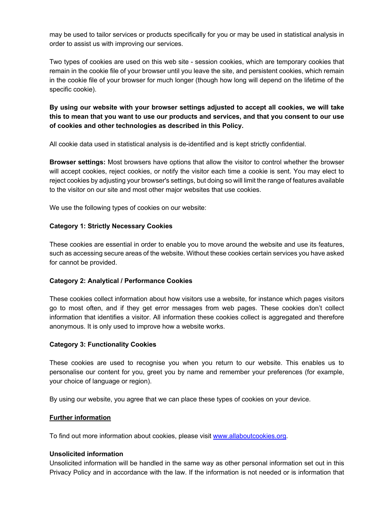may be used to tailor services or products specifically for you or may be used in statistical analysis in order to assist us with improving our services.

Two types of cookies are used on this web site - session cookies, which are temporary cookies that remain in the cookie file of your browser until you leave the site, and persistent cookies, which remain in the cookie file of your browser for much longer (though how long will depend on the lifetime of the specific cookie).

**By using our website with your browser settings adjusted to accept all cookies, we will take this to mean that you want to use our products and services, and that you consent to our use of cookies and other technologies as described in this Policy.** 

All cookie data used in statistical analysis is de-identified and is kept strictly confidential.

**Browser settings:** Most browsers have options that allow the visitor to control whether the browser will accept cookies, reject cookies, or notify the visitor each time a cookie is sent. You may elect to reject cookies by adjusting your browser's settings, but doing so will limit the range of features available to the visitor on our site and most other major websites that use cookies.

We use the following types of cookies on our website:

#### **Category 1: Strictly Necessary Cookies**

These cookies are essential in order to enable you to move around the website and use its features, such as accessing secure areas of the website. Without these cookies certain services you have asked for cannot be provided.

### **Category 2: Analytical / Performance Cookies**

These cookies collect information about how visitors use a website, for instance which pages visitors go to most often, and if they get error messages from web pages. These cookies don't collect information that identifies a visitor. All information these cookies collect is aggregated and therefore anonymous. It is only used to improve how a website works.

#### **Category 3: Functionality Cookies**

These cookies are used to recognise you when you return to our website. This enables us to personalise our content for you, greet you by name and remember your preferences (for example, your choice of language or region).

By using our website, you agree that we can place these types of cookies on your device.

#### **Further information**

To find out more information about cookies, please visit www.allaboutcookies.org.

#### **Unsolicited information**

Unsolicited information will be handled in the same way as other personal information set out in this Privacy Policy and in accordance with the law. If the information is not needed or is information that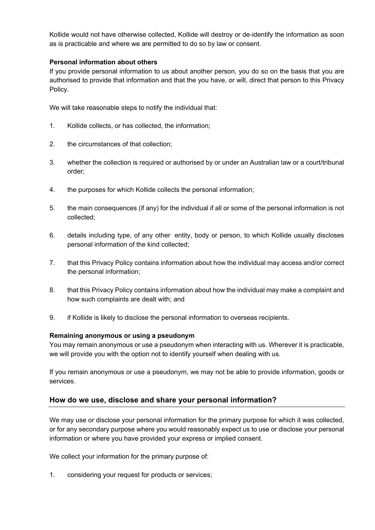Kollide would not have otherwise collected, Kollide will destroy or de-identify the information as soon as is practicable and where we are permitted to do so by law or consent.

### **Personal information about others**

If you provide personal information to us about another person, you do so on the basis that you are authorised to provide that information and that the you have, or will, direct that person to this Privacy Policy.

We will take reasonable steps to notify the individual that:

- 1. Kollide collects, or has collected, the information;
- 2. the circumstances of that collection;
- 3. whether the collection is required or authorised by or under an Australian law or a court/tribunal order;
- 4. the purposes for which Kollide collects the personal information;
- 5. the main consequences (if any) for the individual if all or some of the personal information is not collected;
- 6. details including type, of any other entity, body or person, to which Kollide usually discloses personal information of the kind collected;
- 7. that this Privacy Policy contains information about how the individual may access and/or correct the personal information;
- 8. that this Privacy Policy contains information about how the individual may make a complaint and how such complaints are dealt with; and
- 9. if Kollide is likely to disclose the personal information to overseas recipients.

### **Remaining anonymous or using a pseudonym**

You may remain anonymous or use a pseudonym when interacting with us. Wherever it is practicable, we will provide you with the option not to identify yourself when dealing with us.

If you remain anonymous or use a pseudonym, we may not be able to provide information, goods or services.

# **How do we use, disclose and share your personal information?**

We may use or disclose your personal information for the primary purpose for which it was collected, or for any secondary purpose where you would reasonably expect us to use or disclose your personal information or where you have provided your express or implied consent.

We collect your information for the primary purpose of:

1. considering your request for products or services;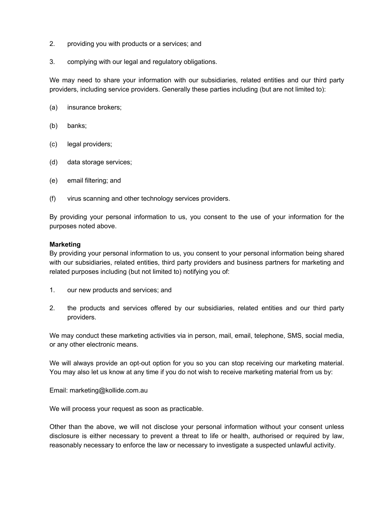- 2. providing you with products or a services; and
- 3. complying with our legal and regulatory obligations.

We may need to share your information with our subsidiaries, related entities and our third party providers, including service providers. Generally these parties including (but are not limited to):

- (a) insurance brokers;
- (b) banks;
- (c) legal providers;
- (d) data storage services;
- (e) email filtering; and
- (f) virus scanning and other technology services providers.

By providing your personal information to us, you consent to the use of your information for the purposes noted above.

#### **Marketing**

By providing your personal information to us, you consent to your personal information being shared with our subsidiaries, related entities, third party providers and business partners for marketing and related purposes including (but not limited to) notifying you of:

- 1. our new products and services; and
- 2. the products and services offered by our subsidiaries, related entities and our third party providers.

We may conduct these marketing activities via in person, mail, email, telephone, SMS, social media, or any other electronic means.

We will always provide an opt-out option for you so you can stop receiving our marketing material. You may also let us know at any time if you do not wish to receive marketing material from us by:

Email: marketing@kollide.com.au

We will process your request as soon as practicable.

Other than the above, we will not disclose your personal information without your consent unless disclosure is either necessary to prevent a threat to life or health, authorised or required by law, reasonably necessary to enforce the law or necessary to investigate a suspected unlawful activity.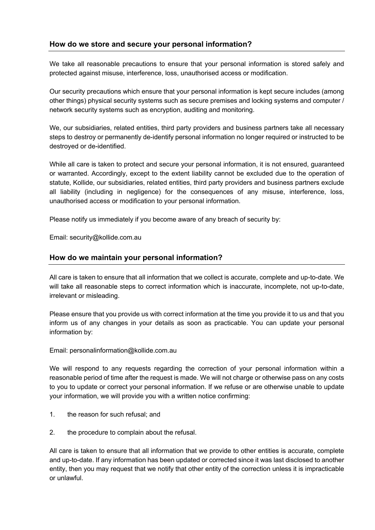# **How do we store and secure your personal information?**

We take all reasonable precautions to ensure that your personal information is stored safely and protected against misuse, interference, loss, unauthorised access or modification.

Our security precautions which ensure that your personal information is kept secure includes (among other things) physical security systems such as secure premises and locking systems and computer / network security systems such as encryption, auditing and monitoring.

We, our subsidiaries, related entities, third party providers and business partners take all necessary steps to destroy or permanently de-identify personal information no longer required or instructed to be destroyed or de-identified.

While all care is taken to protect and secure your personal information, it is not ensured, guaranteed or warranted. Accordingly, except to the extent liability cannot be excluded due to the operation of statute, Kollide, our subsidiaries, related entities, third party providers and business partners exclude all liability (including in negligence) for the consequences of any misuse, interference, loss, unauthorised access or modification to your personal information.

Please notify us immediately if you become aware of any breach of security by:

Email: security@kollide.com.au

## **How do we maintain your personal information?**

All care is taken to ensure that all information that we collect is accurate, complete and up-to-date. We will take all reasonable steps to correct information which is inaccurate, incomplete, not up-to-date, irrelevant or misleading.

Please ensure that you provide us with correct information at the time you provide it to us and that you inform us of any changes in your details as soon as practicable. You can update your personal information by:

Email: personalinformation@kollide.com.au

We will respond to any requests regarding the correction of your personal information within a reasonable period of time after the request is made. We will not charge or otherwise pass on any costs to you to update or correct your personal information. If we refuse or are otherwise unable to update your information, we will provide you with a written notice confirming:

- 1. the reason for such refusal; and
- 2. the procedure to complain about the refusal.

All care is taken to ensure that all information that we provide to other entities is accurate, complete and up-to-date. If any information has been updated or corrected since it was last disclosed to another entity, then you may request that we notify that other entity of the correction unless it is impracticable or unlawful.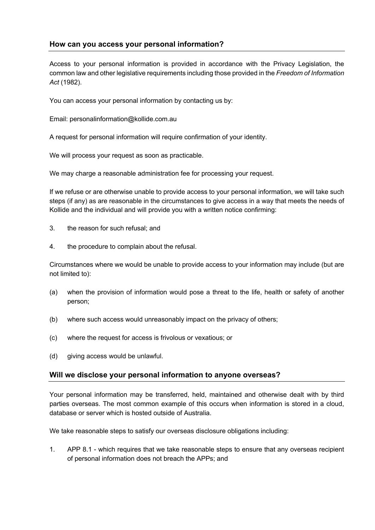# **How can you access your personal information?**

Access to your personal information is provided in accordance with the Privacy Legislation, the common law and other legislative requirements including those provided in the *Freedom of Information Act* (1982).

You can access your personal information by contacting us by:

Email: personalinformation@kollide.com.au

A request for personal information will require confirmation of your identity.

We will process your request as soon as practicable.

We may charge a reasonable administration fee for processing your request.

If we refuse or are otherwise unable to provide access to your personal information, we will take such steps (if any) as are reasonable in the circumstances to give access in a way that meets the needs of Kollide and the individual and will provide you with a written notice confirming:

- 3. the reason for such refusal; and
- 4. the procedure to complain about the refusal.

Circumstances where we would be unable to provide access to your information may include (but are not limited to):

- (a) when the provision of information would pose a threat to the life, health or safety of another person;
- (b) where such access would unreasonably impact on the privacy of others;
- (c) where the request for access is frivolous or vexatious; or
- (d) giving access would be unlawful.

### **Will we disclose your personal information to anyone overseas?**

Your personal information may be transferred, held, maintained and otherwise dealt with by third parties overseas. The most common example of this occurs when information is stored in a cloud, database or server which is hosted outside of Australia.

We take reasonable steps to satisfy our overseas disclosure obligations including:

1. APP 8.1 - which requires that we take reasonable steps to ensure that any overseas recipient of personal information does not breach the APPs; and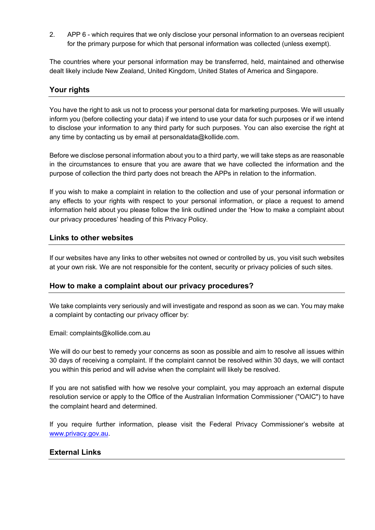2. APP 6 - which requires that we only disclose your personal information to an overseas recipient for the primary purpose for which that personal information was collected (unless exempt).

The countries where your personal information may be transferred, held, maintained and otherwise dealt likely include New Zealand, United Kingdom, United States of America and Singapore.

## **Your rights**

You have the right to ask us not to process your personal data for marketing purposes. We will usually inform you (before collecting your data) if we intend to use your data for such purposes or if we intend to disclose your information to any third party for such purposes. You can also exercise the right at any time by contacting us by email at personaldata@kollide.com.

Before we disclose personal information about you to a third party, we will take steps as are reasonable in the circumstances to ensure that you are aware that we have collected the information and the purpose of collection the third party does not breach the APPs in relation to the information.

If you wish to make a complaint in relation to the collection and use of your personal information or any effects to your rights with respect to your personal information, or place a request to amend information held about you please follow the link outlined under the 'How to make a complaint about our privacy procedures' heading of this Privacy Policy.

## **Links to other websites**

If our websites have any links to other websites not owned or controlled by us, you visit such websites at your own risk. We are not responsible for the content, security or privacy policies of such sites.

### **How to make a complaint about our privacy procedures?**

We take complaints very seriously and will investigate and respond as soon as we can. You may make a complaint by contacting our privacy officer by:

Email: complaints@kollide.com.au

We will do our best to remedy your concerns as soon as possible and aim to resolve all issues within 30 days of receiving a complaint. If the complaint cannot be resolved within 30 days, we will contact you within this period and will advise when the complaint will likely be resolved.

If you are not satisfied with how we resolve your complaint, you may approach an external dispute resolution service or apply to the Office of the Australian Information Commissioner ("OAIC") to have the complaint heard and determined.

If you require further information, please visit the Federal Privacy Commissioner's website at www.privacy.gov.au.

### **External Links**